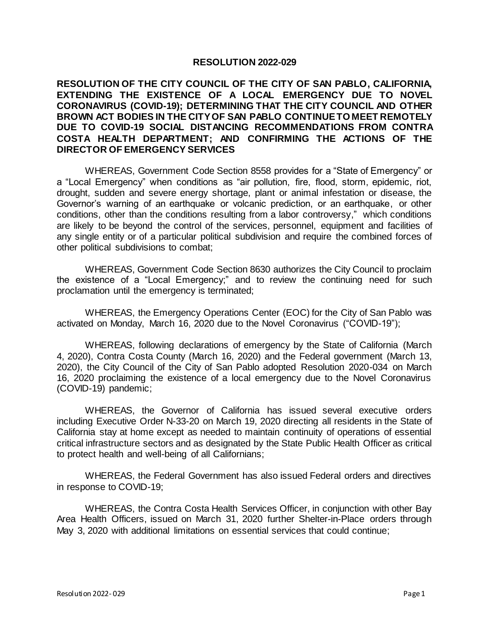## **RESOLUTION 2022-029**

## **RESOLUTION OF THE CITY COUNCIL OF THE CITY OF SAN PABLO, CALIFORNIA, EXTENDING THE EXISTENCE OF A LOCAL EMERGENCY DUE TO NOVEL CORONAVIRUS (COVID-19); DETERMINING THAT THE CITY COUNCIL AND OTHER BROWN ACT BODIES IN THE CITY OF SAN PABLO CONTINUE TO MEET REMOTELY DUE TO COVID-19 SOCIAL DISTANCING RECOMMENDATIONS FROM CONTRA COSTA HEALTH DEPARTMENT; AND CONFIRMING THE ACTIONS OF THE DIRECTOR OF EMERGENCY SERVICES**

WHEREAS, Government Code Section 8558 provides for a "State of Emergency" or a "Local Emergency" when conditions as "air pollution, fire, flood, storm, epidemic, riot, drought, sudden and severe energy shortage, plant or animal infestation or disease, the Governor's warning of an earthquake or volcanic prediction, or an earthquake, or other conditions, other than the conditions resulting from a labor controversy," which conditions are likely to be beyond the control of the services, personnel, equipment and facilities of any single entity or of a particular political subdivision and require the combined forces of other political subdivisions to combat;

WHEREAS, Government Code Section 8630 authorizes the City Council to proclaim the existence of a "Local Emergency;" and to review the continuing need for such proclamation until the emergency is terminated;

WHEREAS, the Emergency Operations Center (EOC) for the City of San Pablo was activated on Monday, March 16, 2020 due to the Novel Coronavirus ("COVID-19");

WHEREAS, following declarations of emergency by the State of California (March 4, 2020), Contra Costa County (March 16, 2020) and the Federal government (March 13, 2020), the City Council of the City of San Pablo adopted Resolution 2020-034 on March 16, 2020 proclaiming the existence of a local emergency due to the Novel Coronavirus (COVID-19) pandemic;

WHEREAS, the Governor of California has issued several executive orders including Executive Order N-33-20 on March 19, 2020 directing all residents in the State of California stay at home except as needed to maintain continuity of operations of essential critical infrastructure sectors and as designated by the State Public Health Officer as critical to protect health and well-being of all Californians;

WHEREAS, the Federal Government has also issued Federal orders and directives in response to COVID-19;

WHEREAS, the Contra Costa Health Services Officer, in conjunction with other Bay Area Health Officers, issued on March 31, 2020 further Shelter-in-Place orders through May 3, 2020 with additional limitations on essential services that could continue;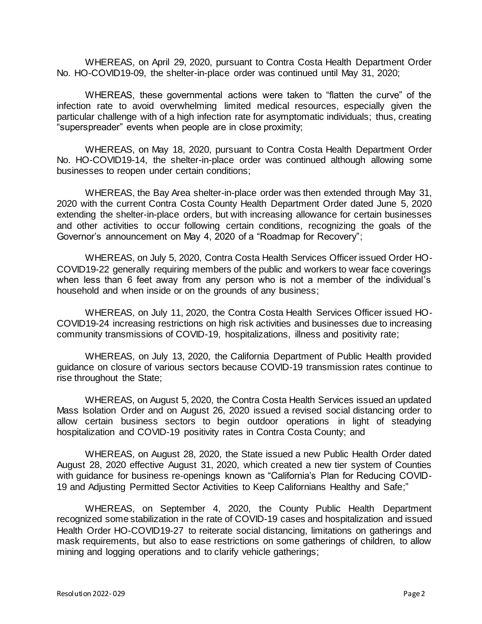WHEREAS, on April 29, 2020, pursuant to Contra Costa Health Department Order No. HO-COVID19-09, the shelter-in-place order was continued until May 31, 2020;

WHEREAS, these governmental actions were taken to "flatten the curve" of the infection rate to avoid overwhelming limited medical resources, especially given the particular challenge with of a high infection rate for asymptomatic individuals; thus, creating "superspreader" events when people are in close proximity;

WHEREAS, on May 18, 2020, pursuant to Contra Costa Health Department Order No. HO-COVID19-14, the shelter-in-place order was continued although allowing some businesses to reopen under certain conditions;

WHEREAS, the Bay Area shelter-in-place order was then extended through May 31, 2020 with the current Contra Costa County Health Department Order dated June 5, 2020 extending the shelter-in-place orders, but with increasing allowance for certain businesses and other activities to occur following certain conditions, recognizing the goals of the Governor's announcement on May 4, 2020 of a "Roadmap for Recovery";

WHEREAS, on July 5, 2020, Contra Costa Health Services Officer issued Order HO-COVID19-22 generally requiring members of the public and workers to wear face coverings when less than 6 feet away from any person who is not a member of the individual's household and when inside or on the grounds of any business;

WHEREAS, on July 11, 2020, the Contra Costa Health Services Officer issued HO-COVID19-24 increasing restrictions on high risk activities and businesses due to increasing community transmissions of COVID-19, hospitalizations, illness and positivity rate;

WHEREAS, on July 13, 2020, the California Department of Public Health provided guidance on closure of various sectors because COVID-19 transmission rates continue to rise throughout the State;

WHEREAS, on August 5, 2020, the Contra Costa Health Services issued an updated Mass Isolation Order and on August 26, 2020 issued a revised social distancing order to allow certain business sectors to begin outdoor operations in light of steadying hospitalization and COVID-19 positivity rates in Contra Costa County; and

WHEREAS, on August 28, 2020, the State issued a new Public Health Order dated August 28, 2020 effective August 31, 2020, which created a new tier system of Counties with guidance for business re-openings known as "California's Plan for Reducing COVID-19 and Adjusting Permitted Sector Activities to Keep Californians Healthy and Safe;"

WHEREAS, on September 4, 2020, the County Public Health Department recognized some stabilization in the rate of COVID-19 cases and hospitalization and issued Health Order HO-COVID19-27 to reiterate social distancing, limitations on gatherings and mask requirements, but also to ease restrictions on some gatherings of children, to allow mining and logging operations and to clarify vehicle gatherings;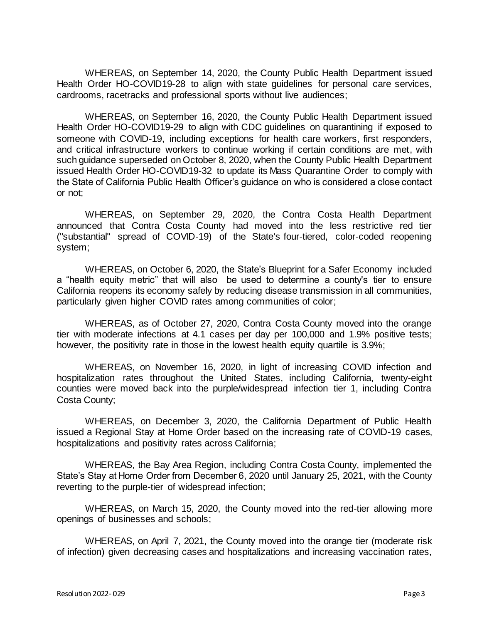WHEREAS, on September 14, 2020, the County Public Health Department issued Health Order HO-COVID19-28 to align with state guidelines for personal care services, cardrooms, racetracks and professional sports without live audiences;

WHEREAS, on September 16, 2020, the County Public Health Department issued Health Order HO-COVID19-29 to align with CDC guidelines on quarantining if exposed to someone with COVID-19, including exceptions for health care workers, first responders, and critical infrastructure workers to continue working if certain conditions are met, with such guidance superseded on October 8, 2020, when the County Public Health Department issued Health Order HO-COVID19-32 to update its Mass Quarantine Order to comply with the State of California Public Health Officer's guidance on who is considered a close contact or not;

WHEREAS, on September 29, 2020, the Contra Costa Health Department announced that Contra Costa County had moved into the less restrictive red tier ("substantial" spread of COVID-19) of the State's [four-tiered, color-coded reopening](https://covid19.ca.gov/safer-economy/)  [system;](https://covid19.ca.gov/safer-economy/)

WHEREAS, on October 6, 2020, the State's [Blueprint for a Safer Economy](https://www.cdph.ca.gov/Programs/CID/DCDC/Pages/COVID-19/COVID19CountyMonitoringOverview.aspx) included a "health equity metric" that will also be used to determine a county's tier to ensure California reopens its economy safely by reducing disease transmission in all communities, particularly given higher COVID rates among communities of color;

WHEREAS, as of October 27, 2020, Contra Costa County moved into the orange tier with moderate infections at 4.1 cases per day per 100,000 and 1.9% positive tests; however, the positivity rate in those in the lowest health equity quartile is 3.9%;

WHEREAS, on November 16, 2020, in light of increasing COVID infection and hospitalization rates throughout the United States, including California, twenty-eight counties were moved back into the purple/widespread infection tier 1, including Contra Costa County;

WHEREAS, on December 3, 2020, the California Department of Public Health issued a Regional Stay at Home Order based on the increasing rate of COVID-19 cases, hospitalizations and positivity rates across California;

WHEREAS, the Bay Area Region, including Contra Costa County, implemented the State's Stay at Home Order from December 6, 2020 until January 25, 2021, with the County reverting to the purple-tier of widespread infection;

WHEREAS, on March 15, 2020, the County moved into the red-tier allowing more openings of businesses and schools;

WHEREAS, on April 7, 2021, the County moved into the orange tier (moderate risk of infection) given decreasing cases and hospitalizations and increasing vaccination rates,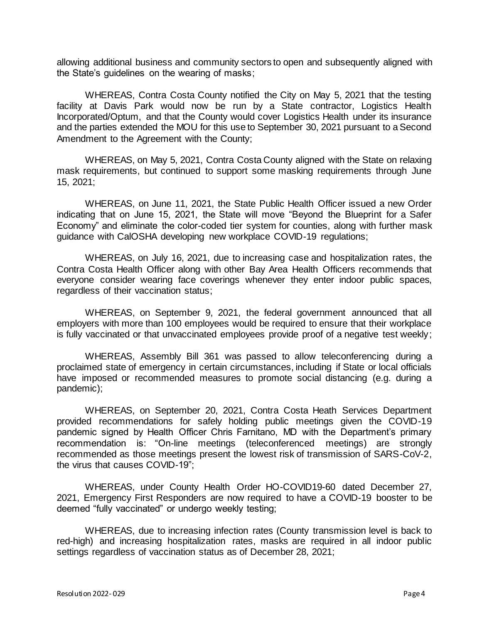allowing additional business and community sectors to open and subsequently aligned with the State's guidelines on the wearing of masks;

WHEREAS, Contra Costa County notified the City on May 5, 2021 that the testing facility at Davis Park would now be run by a State contractor, Logistics Health Incorporated/Optum, and that the County would cover Logistics Health under its insurance and the parties extended the MOU for this use to September 30, 2021 pursuant to a Second Amendment to the Agreement with the County;

WHEREAS, on May 5, 2021, Contra Costa County aligned with the State on relaxing mask requirements, but continued to support some masking requirements through June 15, 2021;

WHEREAS, on June 11, 2021, the State Public Health Officer issued a new Order indicating that on June 15, 2021, the State will move "Beyond the Blueprint for a Safer Economy" and eliminate the color-coded tier system for counties, along with further mask guidance with CalOSHA developing new workplace COVID-19 regulations;

WHEREAS, on July 16, 2021, due to increasing case and hospitalization rates, the Contra Costa Health Officer along with other Bay Area Health Officers recommends that everyone consider wearing face coverings whenever they enter indoor public spaces, regardless of their vaccination status;

WHEREAS, on September 9, 2021, the federal government announced that all employers with more than 100 employees would be required to ensure that their workplace is fully vaccinated or that unvaccinated employees provide proof of a negative test weekly;

WHEREAS, Assembly Bill 361 was passed to allow teleconferencing during a proclaimed state of emergency in certain circumstances, including if State or local officials have imposed or recommended measures to promote social distancing (e.g. during a pandemic);

WHEREAS, on September 20, 2021, Contra Costa Heath Services Department provided recommendations for safely holding public meetings given the COVID-19 pandemic signed by Health Officer Chris Farnitano, MD with the Department's primary recommendation is: "On-line meetings (teleconferenced meetings) are strongly recommended as those meetings present the lowest risk of transmission of SARS-CoV-2, the virus that causes COVID-19";

WHEREAS, under County Health Order HO-COVID19-60 dated December 27, 2021, Emergency First Responders are now required to have a COVID-19 booster to be deemed "fully vaccinated" or undergo weekly testing;

WHEREAS, due to increasing infection rates (County transmission level is back to red-high) and increasing hospitalization rates, masks are required in all indoor public settings regardless of vaccination status as of December 28, 2021;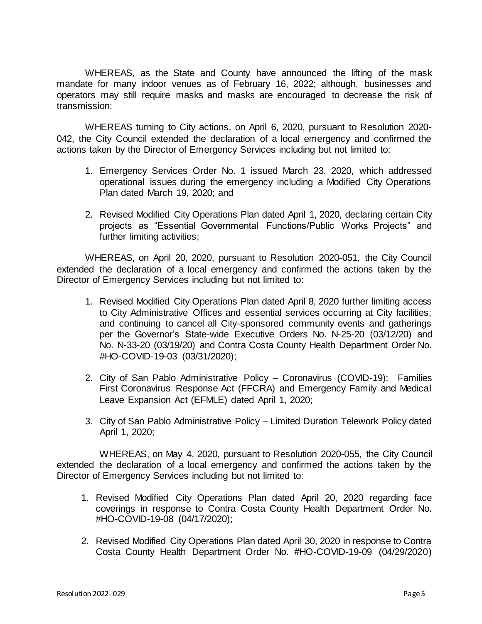WHEREAS, as the State and County have announced the lifting of the mask mandate for many indoor venues as of February 16, 2022; although, businesses and operators may still require masks and masks are encouraged to decrease the risk of transmission;

WHEREAS turning to City actions, on April 6, 2020, pursuant to Resolution 2020- 042, the City Council extended the declaration of a local emergency and confirmed the actions taken by the Director of Emergency Services including but not limited to:

- 1. Emergency Services Order No. 1 issued March 23, 2020, which addressed operational issues during the emergency including a Modified City Operations Plan dated March 19, 2020; and
- 2. Revised Modified City Operations Plan dated April 1, 2020, declaring certain City projects as "Essential Governmental Functions/Public Works Projects" and further limiting activities;

WHEREAS, on April 20, 2020, pursuant to Resolution 2020-051, the City Council extended the declaration of a local emergency and confirmed the actions taken by the Director of Emergency Services including but not limited to:

- 1. Revised Modified City Operations Plan dated April 8, 2020 further limiting access to City Administrative Offices and essential services occurring at City facilities; and continuing to cancel all City-sponsored community events and gatherings per the Governor's State-wide Executive Orders No. N-25-20 (03/12/20) and No. N-33-20 (03/19/20) and Contra Costa County Health Department Order No. #HO-COVID-19-03 (03/31/2020);
- 2. City of San Pablo Administrative Policy Coronavirus (COVID-19): Families First Coronavirus Response Act (FFCRA) and Emergency Family and Medical Leave Expansion Act (EFMLE) dated April 1, 2020;
- 3. City of San Pablo Administrative Policy Limited Duration Telework Policy dated April 1, 2020;

WHEREAS, on May 4, 2020, pursuant to Resolution 2020-055, the City Council extended the declaration of a local emergency and confirmed the actions taken by the Director of Emergency Services including but not limited to:

- 1. Revised Modified City Operations Plan dated April 20, 2020 regarding face coverings in response to Contra Costa County Health Department Order No. #HO-COVID-19-08 (04/17/2020);
- 2. Revised Modified City Operations Plan dated April 30, 2020 in response to Contra Costa County Health Department Order No. #HO-COVID-19-09 (04/29/2020)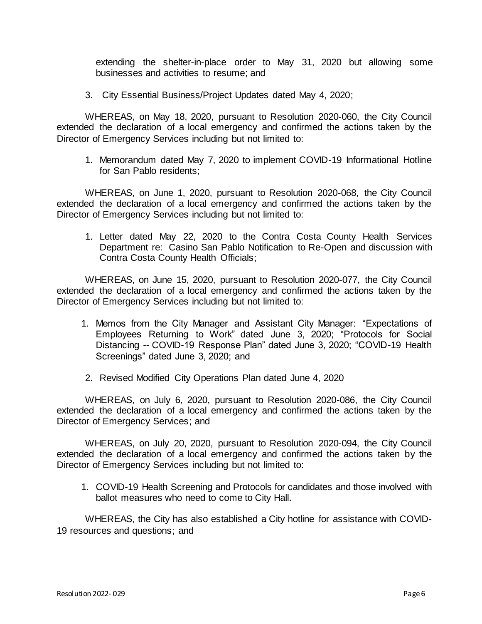extending the shelter-in-place order to May 31, 2020 but allowing some businesses and activities to resume; and

3. City Essential Business/Project Updates dated May 4, 2020;

WHEREAS, on May 18, 2020, pursuant to Resolution 2020-060, the City Council extended the declaration of a local emergency and confirmed the actions taken by the Director of Emergency Services including but not limited to:

1. Memorandum dated May 7, 2020 to implement COVID-19 Informational Hotline for San Pablo residents;

WHEREAS, on June 1, 2020, pursuant to Resolution 2020-068, the City Council extended the declaration of a local emergency and confirmed the actions taken by the Director of Emergency Services including but not limited to:

1. Letter dated May 22, 2020 to the Contra Costa County Health Services Department re: Casino San Pablo Notification to Re-Open and discussion with Contra Costa County Health Officials;

WHEREAS, on June 15, 2020, pursuant to Resolution 2020-077, the City Council extended the declaration of a local emergency and confirmed the actions taken by the Director of Emergency Services including but not limited to:

- 1. Memos from the City Manager and Assistant City Manager: "Expectations of Employees Returning to Work" dated June 3, 2020; "Protocols for Social Distancing -- COVID-19 Response Plan" dated June 3, 2020; "COVID-19 Health Screenings" dated June 3, 2020; and
- 2. Revised Modified City Operations Plan dated June 4, 2020

WHEREAS, on July 6, 2020, pursuant to Resolution 2020-086, the City Council extended the declaration of a local emergency and confirmed the actions taken by the Director of Emergency Services; and

WHEREAS, on July 20, 2020, pursuant to Resolution 2020-094, the City Council extended the declaration of a local emergency and confirmed the actions taken by the Director of Emergency Services including but not limited to:

1. COVID-19 Health Screening and Protocols for candidates and those involved with ballot measures who need to come to City Hall.

WHEREAS, the City has also established a City hotline for assistance with COVID-19 resources and questions; and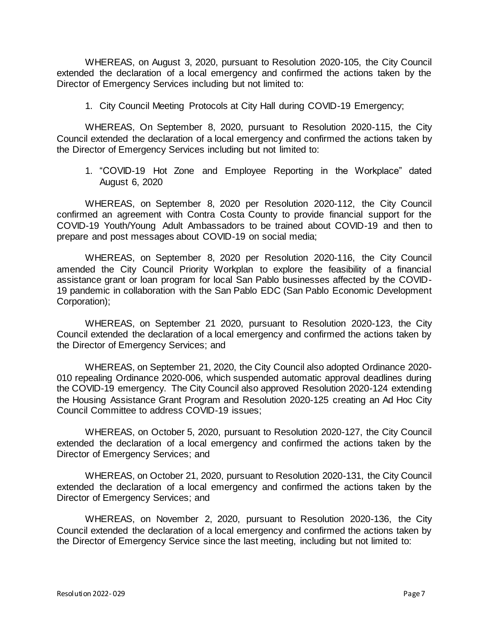WHEREAS, on August 3, 2020, pursuant to Resolution 2020-105, the City Council extended the declaration of a local emergency and confirmed the actions taken by the Director of Emergency Services including but not limited to:

1. City Council Meeting Protocols at City Hall during COVID-19 Emergency;

WHEREAS, On September 8, 2020, pursuant to Resolution 2020-115, the City Council extended the declaration of a local emergency and confirmed the actions taken by the Director of Emergency Services including but not limited to:

1. "COVID-19 Hot Zone and Employee Reporting in the Workplace" dated August 6, 2020

WHEREAS, on September 8, 2020 per Resolution 2020-112, the City Council confirmed an agreement with Contra Costa County to provide financial support for the COVID-19 Youth/Young Adult Ambassadors to be trained about COVID-19 and then to prepare and post messages about COVID-19 on social media;

WHEREAS, on September 8, 2020 per Resolution 2020-116, the City Council amended the City Council Priority Workplan to explore the feasibility of a financial assistance grant or loan program for local San Pablo businesses affected by the COVID-19 pandemic in collaboration with the San Pablo EDC (San Pablo Economic Development Corporation);

WHEREAS, on September 21 2020, pursuant to Resolution 2020-123, the City Council extended the declaration of a local emergency and confirmed the actions taken by the Director of Emergency Services; and

WHEREAS, on September 21, 2020, the City Council also adopted Ordinance 2020- 010 repealing Ordinance 2020-006, which suspended automatic approval deadlines during the COVID-19 emergency. The City Council also approved Resolution 2020-124 extending the Housing Assistance Grant Program and Resolution 2020-125 creating an Ad Hoc City Council Committee to address COVID-19 issues;

WHEREAS, on October 5, 2020, pursuant to Resolution 2020-127, the City Council extended the declaration of a local emergency and confirmed the actions taken by the Director of Emergency Services; and

WHEREAS, on October 21, 2020, pursuant to Resolution 2020-131, the City Council extended the declaration of a local emergency and confirmed the actions taken by the Director of Emergency Services; and

WHEREAS, on November 2, 2020, pursuant to Resolution 2020-136, the City Council extended the declaration of a local emergency and confirmed the actions taken by the Director of Emergency Service since the last meeting, including but not limited to: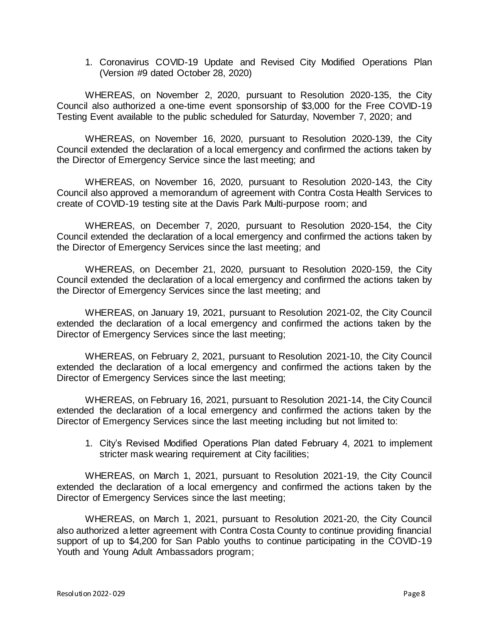1. Coronavirus COVID-19 Update and Revised City Modified Operations Plan (Version #9 dated October 28, 2020)

WHEREAS, on November 2, 2020, pursuant to Resolution 2020-135, the City Council also authorized a one-time event sponsorship of \$3,000 for the Free COVID-19 Testing Event available to the public scheduled for Saturday, November 7, 2020; and

WHEREAS, on November 16, 2020, pursuant to Resolution 2020-139, the City Council extended the declaration of a local emergency and confirmed the actions taken by the Director of Emergency Service since the last meeting; and

WHEREAS, on November 16, 2020, pursuant to Resolution 2020-143, the City Council also approved a memorandum of agreement with Contra Costa Health Services to create of COVID-19 testing site at the Davis Park Multi-purpose room; and

WHEREAS, on December 7, 2020, pursuant to Resolution 2020-154, the City Council extended the declaration of a local emergency and confirmed the actions taken by the Director of Emergency Services since the last meeting; and

WHEREAS, on December 21, 2020, pursuant to Resolution 2020-159, the City Council extended the declaration of a local emergency and confirmed the actions taken by the Director of Emergency Services since the last meeting; and

WHEREAS, on January 19, 2021, pursuant to Resolution 2021-02, the City Council extended the declaration of a local emergency and confirmed the actions taken by the Director of Emergency Services since the last meeting;

WHEREAS, on February 2, 2021, pursuant to Resolution 2021-10, the City Council extended the declaration of a local emergency and confirmed the actions taken by the Director of Emergency Services since the last meeting;

WHEREAS, on February 16, 2021, pursuant to Resolution 2021-14, the City Council extended the declaration of a local emergency and confirmed the actions taken by the Director of Emergency Services since the last meeting including but not limited to:

1. City's Revised Modified Operations Plan dated February 4, 2021 to implement stricter mask wearing requirement at City facilities;

WHEREAS, on March 1, 2021, pursuant to Resolution 2021-19, the City Council extended the declaration of a local emergency and confirmed the actions taken by the Director of Emergency Services since the last meeting;

WHEREAS, on March 1, 2021, pursuant to Resolution 2021-20, the City Council also authorized a letter agreement with Contra Costa County to continue providing financial support of up to \$4,200 for San Pablo youths to continue participating in the COVID-19 Youth and Young Adult Ambassadors program;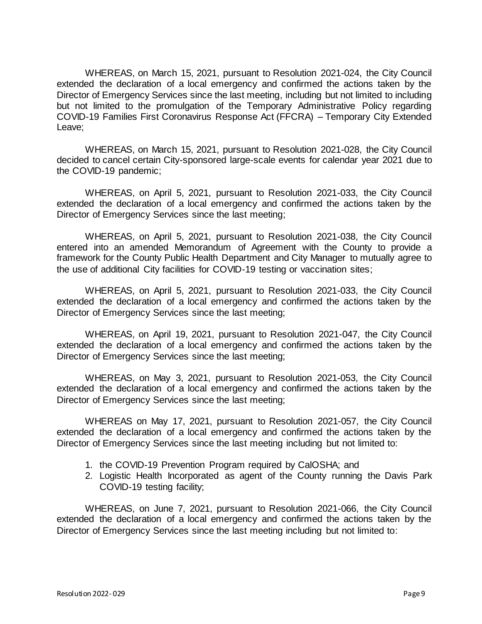WHEREAS, on March 15, 2021, pursuant to Resolution 2021-024, the City Council extended the declaration of a local emergency and confirmed the actions taken by the Director of Emergency Services since the last meeting, including but not limited to including but not limited to the promulgation of the Temporary Administrative Policy regarding COVID-19 Families First Coronavirus Response Act (FFCRA) – Temporary City Extended Leave;

WHEREAS, on March 15, 2021, pursuant to Resolution 2021-028, the City Council decided to cancel certain City-sponsored large-scale events for calendar year 2021 due to the COVID-19 pandemic;

WHEREAS, on April 5, 2021, pursuant to Resolution 2021-033, the City Council extended the declaration of a local emergency and confirmed the actions taken by the Director of Emergency Services since the last meeting;

WHEREAS, on April 5, 2021, pursuant to Resolution 2021-038, the City Council entered into an amended Memorandum of Agreement with the County to provide a framework for the County Public Health Department and City Manager to mutually agree to the use of additional City facilities for COVID-19 testing or vaccination sites;

WHEREAS, on April 5, 2021, pursuant to Resolution 2021-033, the City Council extended the declaration of a local emergency and confirmed the actions taken by the Director of Emergency Services since the last meeting;

WHEREAS, on April 19, 2021, pursuant to Resolution 2021-047, the City Council extended the declaration of a local emergency and confirmed the actions taken by the Director of Emergency Services since the last meeting;

WHEREAS, on May 3, 2021, pursuant to Resolution 2021-053, the City Council extended the declaration of a local emergency and confirmed the actions taken by the Director of Emergency Services since the last meeting;

WHEREAS on May 17, 2021, pursuant to Resolution 2021-057, the City Council extended the declaration of a local emergency and confirmed the actions taken by the Director of Emergency Services since the last meeting including but not limited to:

- 1. the COVID-19 Prevention Program required by CalOSHA; and
- 2. Logistic Health Incorporated as agent of the County running the Davis Park COVID-19 testing facility;

WHEREAS, on June 7, 2021, pursuant to Resolution 2021-066, the City Council extended the declaration of a local emergency and confirmed the actions taken by the Director of Emergency Services since the last meeting including but not limited to: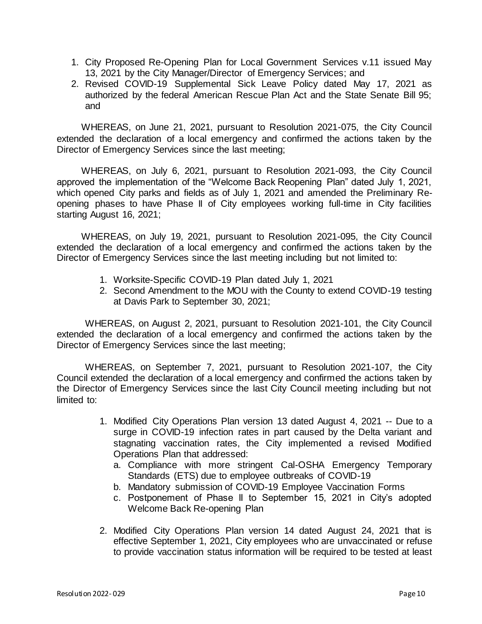- 1. City Proposed Re-Opening Plan for Local Government Services v.11 issued May 13, 2021 by the City Manager/Director of Emergency Services; and
- 2. Revised COVID-19 Supplemental Sick Leave Policy dated May 17, 2021 as authorized by the federal American Rescue Plan Act and the State Senate Bill 95; and

WHEREAS, on June 21, 2021, pursuant to Resolution 2021-075, the City Council extended the declaration of a local emergency and confirmed the actions taken by the Director of Emergency Services since the last meeting;

WHEREAS, on July 6, 2021, pursuant to Resolution 2021-093, the City Council approved the implementation of the "Welcome Back Reopening Plan" dated July 1, 2021, which opened City parks and fields as of July 1, 2021 and amended the Preliminary Reopening phases to have Phase II of City employees working full-time in City facilities starting August 16, 2021;

WHEREAS, on July 19, 2021, pursuant to Resolution 2021-095, the City Council extended the declaration of a local emergency and confirmed the actions taken by the Director of Emergency Services since the last meeting including but not limited to:

- 1. Worksite-Specific COVID-19 Plan dated July 1, 2021
- 2. Second Amendment to the MOU with the County to extend COVID-19 testing at Davis Park to September 30, 2021;

WHEREAS, on August 2, 2021, pursuant to Resolution 2021-101, the City Council extended the declaration of a local emergency and confirmed the actions taken by the Director of Emergency Services since the last meeting;

WHEREAS, on September 7, 2021, pursuant to Resolution 2021-107, the City Council extended the declaration of a local emergency and confirmed the actions taken by the Director of Emergency Services since the last City Council meeting including but not limited to:

- 1. Modified City Operations Plan version 13 dated August 4, 2021 -- Due to a surge in COVID-19 infection rates in part caused by the Delta variant and stagnating vaccination rates, the City implemented a revised Modified Operations Plan that addressed:
	- a. Compliance with more stringent Cal-OSHA Emergency Temporary Standards (ETS) due to employee outbreaks of COVID-19
	- b. Mandatory submission of COVID-19 Employee Vaccination Forms
	- c. Postponement of Phase II to September 15, 2021 in City's adopted Welcome Back Re-opening Plan
- 2. Modified City Operations Plan version 14 dated August 24, 2021 that is effective September 1, 2021, City employees who are unvaccinated or refuse to provide vaccination status information will be required to be tested at least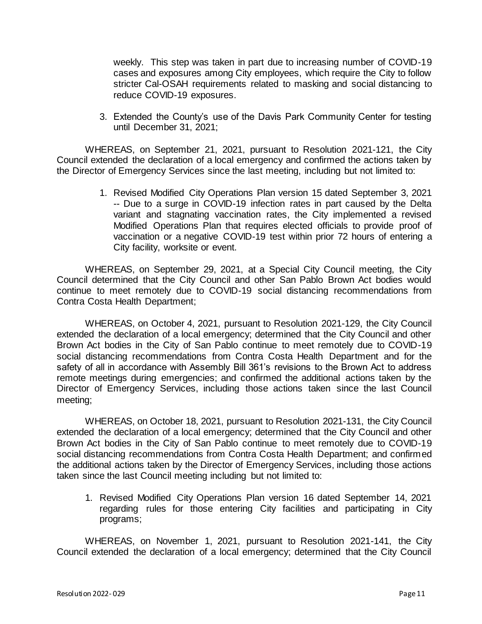weekly. This step was taken in part due to increasing number of COVID-19 cases and exposures among City employees, which require the City to follow stricter Cal-OSAH requirements related to masking and social distancing to reduce COVID-19 exposures.

3. Extended the County's use of the Davis Park Community Center for testing until December 31, 2021;

WHEREAS, on September 21, 2021, pursuant to Resolution 2021-121, the City Council extended the declaration of a local emergency and confirmed the actions taken by the Director of Emergency Services since the last meeting, including but not limited to:

> 1. Revised Modified City Operations Plan version 15 dated September 3, 2021 -- Due to a surge in COVID-19 infection rates in part caused by the Delta variant and stagnating vaccination rates, the City implemented a revised Modified Operations Plan that requires elected officials to provide proof of vaccination or a negative COVID-19 test within prior 72 hours of entering a City facility, worksite or event.

WHEREAS, on September 29, 2021, at a Special City Council meeting, the City Council determined that the City Council and other San Pablo Brown Act bodies would continue to meet remotely due to COVID-19 social distancing recommendations from Contra Costa Health Department;

WHEREAS, on October 4, 2021, pursuant to Resolution 2021-129, the City Council extended the declaration of a local emergency; determined that the City Council and other Brown Act bodies in the City of San Pablo continue to meet remotely due to COVID-19 social distancing recommendations from Contra Costa Health Department and for the safety of all in accordance with Assembly Bill 361's revisions to the Brown Act to address remote meetings during emergencies; and confirmed the additional actions taken by the Director of Emergency Services, including those actions taken since the last Council meeting;

WHEREAS, on October 18, 2021, pursuant to Resolution 2021-131, the City Council extended the declaration of a local emergency; determined that the City Council and other Brown Act bodies in the City of San Pablo continue to meet remotely due to COVID-19 social distancing recommendations from Contra Costa Health Department; and confirmed the additional actions taken by the Director of Emergency Services, including those actions taken since the last Council meeting including but not limited to:

1. Revised Modified City Operations Plan version 16 dated September 14, 2021 regarding rules for those entering City facilities and participating in City programs;

WHEREAS, on November 1, 2021, pursuant to Resolution 2021-141, the City Council extended the declaration of a local emergency; determined that the City Council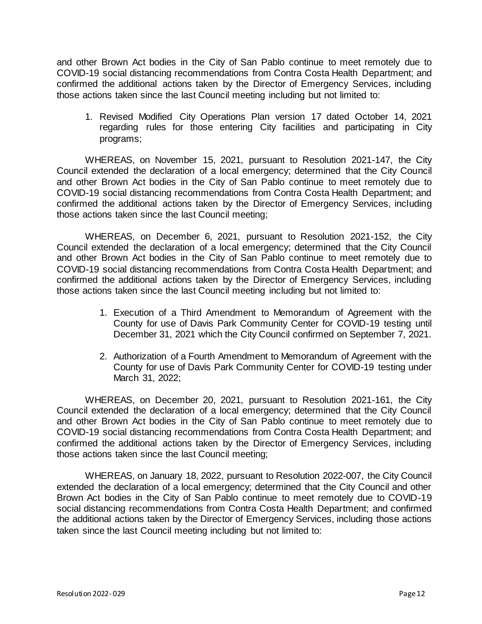and other Brown Act bodies in the City of San Pablo continue to meet remotely due to COVID-19 social distancing recommendations from Contra Costa Health Department; and confirmed the additional actions taken by the Director of Emergency Services, including those actions taken since the last Council meeting including but not limited to:

1. Revised Modified City Operations Plan version 17 dated October 14, 2021 regarding rules for those entering City facilities and participating in City programs;

WHEREAS, on November 15, 2021, pursuant to Resolution 2021-147, the City Council extended the declaration of a local emergency; determined that the City Council and other Brown Act bodies in the City of San Pablo continue to meet remotely due to COVID-19 social distancing recommendations from Contra Costa Health Department; and confirmed the additional actions taken by the Director of Emergency Services, including those actions taken since the last Council meeting;

WHEREAS, on December 6, 2021, pursuant to Resolution 2021-152, the City Council extended the declaration of a local emergency; determined that the City Council and other Brown Act bodies in the City of San Pablo continue to meet remotely due to COVID-19 social distancing recommendations from Contra Costa Health Department; and confirmed the additional actions taken by the Director of Emergency Services, including those actions taken since the last Council meeting including but not limited to:

- 1. Execution of a Third Amendment to Memorandum of Agreement with the County for use of Davis Park Community Center for COVID-19 testing until December 31, 2021 which the City Council confirmed on September 7, 2021.
- 2. Authorization of a Fourth Amendment to Memorandum of Agreement with the County for use of Davis Park Community Center for COVID-19 testing under March 31, 2022;

WHEREAS, on December 20, 2021, pursuant to Resolution 2021-161, the City Council extended the declaration of a local emergency; determined that the City Council and other Brown Act bodies in the City of San Pablo continue to meet remotely due to COVID-19 social distancing recommendations from Contra Costa Health Department; and confirmed the additional actions taken by the Director of Emergency Services, including those actions taken since the last Council meeting;

WHEREAS, on January 18, 2022, pursuant to Resolution 2022-007, the City Council extended the declaration of a local emergency; determined that the City Council and other Brown Act bodies in the City of San Pablo continue to meet remotely due to COVID-19 social distancing recommendations from Contra Costa Health Department; and confirmed the additional actions taken by the Director of Emergency Services, including those actions taken since the last Council meeting including but not limited to: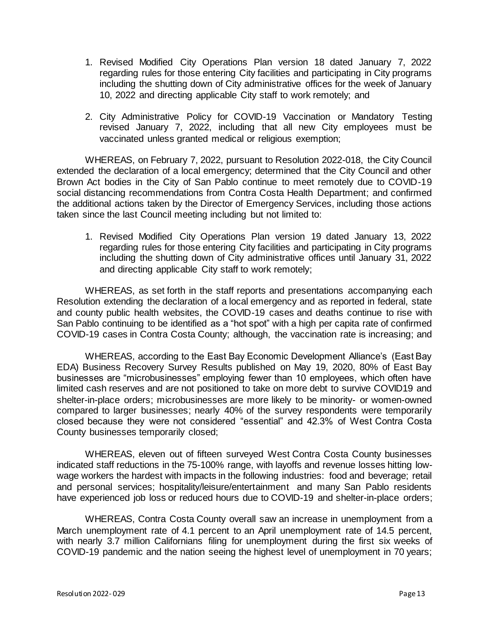- 1. Revised Modified City Operations Plan version 18 dated January 7, 2022 regarding rules for those entering City facilities and participating in City programs including the shutting down of City administrative offices for the week of January 10, 2022 and directing applicable City staff to work remotely; and
- 2. City Administrative Policy for COVID-19 Vaccination or Mandatory Testing revised January 7, 2022, including that all new City employees must be vaccinated unless granted medical or religious exemption;

WHEREAS, on February 7, 2022, pursuant to Resolution 2022-018, the City Council extended the declaration of a local emergency; determined that the City Council and other Brown Act bodies in the City of San Pablo continue to meet remotely due to COVID-19 social distancing recommendations from Contra Costa Health Department; and confirmed the additional actions taken by the Director of Emergency Services, including those actions taken since the last Council meeting including but not limited to:

1. Revised Modified City Operations Plan version 19 dated January 13, 2022 regarding rules for those entering City facilities and participating in City programs including the shutting down of City administrative offices until January 31, 2022 and directing applicable City staff to work remotely;

WHEREAS, as set forth in the staff reports and presentations accompanying each Resolution extending the declaration of a local emergency and as reported in federal, state and county public health websites, the COVID-19 cases and deaths continue to rise with San Pablo continuing to be identified as a "hot spot" with a high per capita rate of confirmed COVID-19 cases in Contra Costa County; although, the vaccination rate is increasing; and

WHEREAS, according to the East Bay Economic Development Alliance's (East Bay EDA) Business Recovery Survey Results published on May 19, 2020, 80% of East Bay businesses are "microbusinesses" employing fewer than 10 employees, which often have limited cash reserves and are not positioned to take on more debt to survive COVID19 and shelter-in-place orders; microbusinesses are more likely to be minority- or women-owned compared to larger businesses; nearly 40% of the survey respondents were temporarily closed because they were not considered "essential" and 42.3% of West Contra Costa County businesses temporarily closed;

WHEREAS, eleven out of fifteen surveyed West Contra Costa County businesses indicated staff reductions in the 75-100% range, with layoffs and revenue losses hitting lowwage workers the hardest with impacts in the following industries: food and beverage; retail and personal services; hospitality/leisure/entertainment and many San Pablo residents have experienced job loss or reduced hours due to COVID-19 and shelter-in-place orders;

WHEREAS, Contra Costa County overall saw an increase in unemployment from a March unemployment rate of 4.1 percent to an April unemployment rate of 14.5 percent, with nearly 3.7 million Californians filing for unemployment during the first six weeks of COVID-19 pandemic and the nation seeing the highest level of unemployment in 70 years;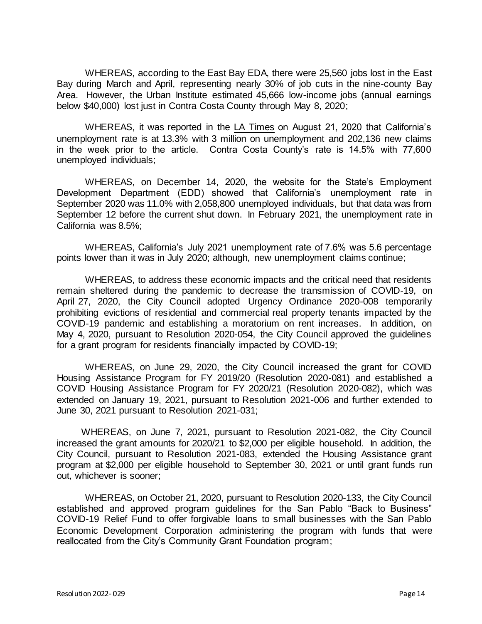WHEREAS, according to the East Bay EDA, there were 25,560 jobs lost in the East Bay during March and April, representing nearly 30% of job cuts in the nine-county Bay Area. However, the Urban Institute estimated 45,666 low-income jobs (annual earnings below \$40,000) lost just in Contra Costa County through May 8, 2020;

WHEREAS, it was reported in the LA Times on August 21, 2020 that California's unemployment rate is at 13.3% with 3 million on unemployment and 202,136 new claims in the week prior to the article. Contra Costa County's rate is 14.5% with 77,600 unemployed individuals;

WHEREAS, on December 14, 2020, the website for the State's Employment Development Department (EDD) showed that California's unemployment rate in September 2020 was 11.0% with 2,058,800 unemployed individuals, but that data was from September 12 before the current shut down. In February 2021, the unemployment rate in California was 8.5%;

WHEREAS, California's July 2021 unemployment rate of 7.6% was 5.6 percentage points lower than it was in July 2020; although, new unemployment claims continue;

WHEREAS, to address these economic impacts and the critical need that residents remain sheltered during the pandemic to decrease the transmission of COVID-19, on April 27, 2020, the City Council adopted Urgency Ordinance 2020-008 temporarily prohibiting evictions of residential and commercial real property tenants impacted by the COVID-19 pandemic and establishing a moratorium on rent increases. In addition, on May 4, 2020, pursuant to Resolution 2020-054, the City Council approved the guidelines for a grant program for residents financially impacted by COVID-19;

WHEREAS, on June 29, 2020, the City Council increased the grant for COVID Housing Assistance Program for FY 2019/20 (Resolution 2020-081) and established a COVID Housing Assistance Program for FY 2020/21 (Resolution 2020-082), which was extended on January 19, 2021, pursuant to Resolution 2021-006 and further extended to June 30, 2021 pursuant to Resolution 2021-031;

WHEREAS, on June 7, 2021, pursuant to Resolution 2021-082, the City Council increased the grant amounts for 2020/21 to \$2,000 per eligible household. In addition, the City Council, pursuant to Resolution 2021-083, extended the Housing Assistance grant program at \$2,000 per eligible household to September 30, 2021 or until grant funds run out, whichever is sooner;

WHEREAS, on October 21, 2020, pursuant to Resolution 2020-133, the City Council established and approved program guidelines for the San Pablo "Back to Business" COVID-19 Relief Fund to offer forgivable loans to small businesses with the San Pablo Economic Development Corporation administering the program with funds that were reallocated from the City's Community Grant Foundation program;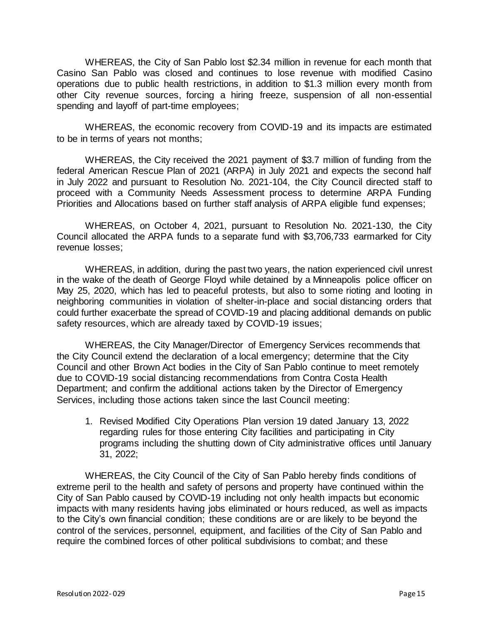WHEREAS, the City of San Pablo lost \$2.34 million in revenue for each month that Casino San Pablo was closed and continues to lose revenue with modified Casino operations due to public health restrictions, in addition to \$1.3 million every month from other City revenue sources, forcing a hiring freeze, suspension of all non-essential spending and layoff of part-time employees;

WHEREAS, the economic recovery from COVID-19 and its impacts are estimated to be in terms of years not months;

WHEREAS, the City received the 2021 payment of \$3.7 million of funding from the federal American Rescue Plan of 2021 (ARPA) in July 2021 and expects the second half in July 2022 and pursuant to Resolution No. 2021-104, the City Council directed staff to proceed with a Community Needs Assessment process to determine ARPA Funding Priorities and Allocations based on further staff analysis of ARPA eligible fund expenses;

WHEREAS, on October 4, 2021, pursuant to Resolution No. 2021-130, the City Council allocated the ARPA funds to a separate fund with \$3,706,733 earmarked for City revenue losses;

WHEREAS, in addition, during the past two years, the nation experienced civil unrest in the wake of the death of George Floyd while detained by a Minneapolis police officer on May 25, 2020, which has led to peaceful protests, but also to some rioting and looting in neighboring communities in violation of shelter-in-place and social distancing orders that could further exacerbate the spread of COVID-19 and placing additional demands on public safety resources, which are already taxed by COVID-19 issues;

WHEREAS, the City Manager/Director of Emergency Services recommends that the City Council extend the declaration of a local emergency; determine that the City Council and other Brown Act bodies in the City of San Pablo continue to meet remotely due to COVID-19 social distancing recommendations from Contra Costa Health Department; and confirm the additional actions taken by the Director of Emergency Services, including those actions taken since the last Council meeting:

1. Revised Modified City Operations Plan version 19 dated January 13, 2022 regarding rules for those entering City facilities and participating in City programs including the shutting down of City administrative offices until January 31, 2022;

WHEREAS, the City Council of the City of San Pablo hereby finds conditions of extreme peril to the health and safety of persons and property have continued within the City of San Pablo caused by COVID-19 including not only health impacts but economic impacts with many residents having jobs eliminated or hours reduced, as well as impacts to the City's own financial condition; these conditions are or are likely to be beyond the control of the services, personnel, equipment, and facilities of the City of San Pablo and require the combined forces of other political subdivisions to combat; and these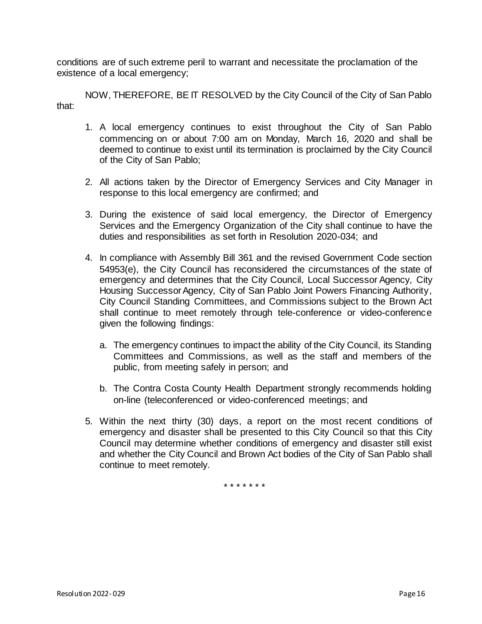conditions are of such extreme peril to warrant and necessitate the proclamation of the existence of a local emergency;

NOW, THEREFORE, BE IT RESOLVED by the City Council of the City of San Pablo that:

- 1. A local emergency continues to exist throughout the City of San Pablo commencing on or about 7:00 am on Monday, March 16, 2020 and shall be deemed to continue to exist until its termination is proclaimed by the City Council of the City of San Pablo;
- 2. All actions taken by the Director of Emergency Services and City Manager in response to this local emergency are confirmed; and
- 3. During the existence of said local emergency, the Director of Emergency Services and the Emergency Organization of the City shall continue to have the duties and responsibilities as set forth in Resolution 2020-034; and
- 4. In compliance with Assembly Bill 361 and the revised Government Code section 54953(e), the City Council has reconsidered the circumstances of the state of emergency and determines that the City Council, Local Successor Agency, City Housing Successor Agency, City of San Pablo Joint Powers Financing Authority, City Council Standing Committees, and Commissions subject to the Brown Act shall continue to meet remotely through tele-conference or video-conference given the following findings:
	- a. The emergency continues to impact the ability of the City Council, its Standing Committees and Commissions, as well as the staff and members of the public, from meeting safely in person; and
	- b. The Contra Costa County Health Department strongly recommends holding on-line (teleconferenced or video-conferenced meetings; and
- 5. Within the next thirty (30) days, a report on the most recent conditions of emergency and disaster shall be presented to this City Council so that this City Council may determine whether conditions of emergency and disaster still exist and whether the City Council and Brown Act bodies of the City of San Pablo shall continue to meet remotely.

\* \* \* \* \* \* \*